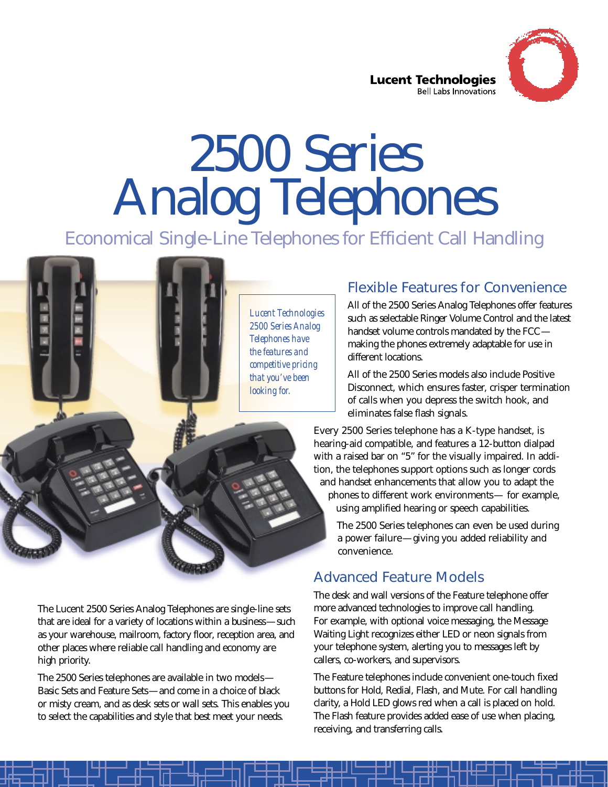

**Lucent Technologies Bell Labs Innovations** 

# 2500 Series Analog Telephones

Economical Single-Line Telephones for Efficient Call Handling

*Lucent Technologies 2500 Series Analog Telephones have the features and competitive pricing that you've been looking for.*

#### Flexible Features for Convenience

All of the 2500 Series Analog Telephones offer features such as selectable Ringer Volume Control and the latest handset volume controls mandated by the FCC making the phones extremely adaptable for use in different locations.

All of the 2500 Series models also include Positive Disconnect, which ensures faster, crisper termination of calls when you depress the switch hook, and eliminates false flash signals.

Every 2500 Series telephone has a K-type handset, is hearing-aid compatible, and features a 12-button dialpad with a raised bar on "5" for the visually impaired. In addition, the telephones support options such as longer cords and handset enhancements that allow you to adapt the phones to different work environments— for example, using amplified hearing or speech capabilities.

The 2500 Series telephones can even be used during a power failure—giving you added reliability and convenience.

### Advanced Feature Models

The desk and wall versions of the Feature telephone offer more advanced technologies to improve call handling. For example, with optional voice messaging, the Message Waiting Light recognizes either LED or neon signals from your telephone system, alerting you to messages left by callers, co-workers, and supervisors.

The Feature telephones include convenient one-touch fixed buttons for Hold, Redial, Flash, and Mute. For call handling clarity, a Hold LED glows red when a call is placed on hold. The Flash feature provides added ease of use when placing, receiving, and transferring calls.

The Lucent 2500 Series Analog Telephones are single-line sets that are ideal for a variety of locations within a business—such as your warehouse, mailroom, factory floor, reception area, and other places where reliable call handling and economy are high priority.

The 2500 Series telephones are available in two models— Basic Sets and Feature Sets—and come in a choice of black or misty cream, and as desk sets or wall sets. This enables you to select the capabilities and style that best meet your needs.